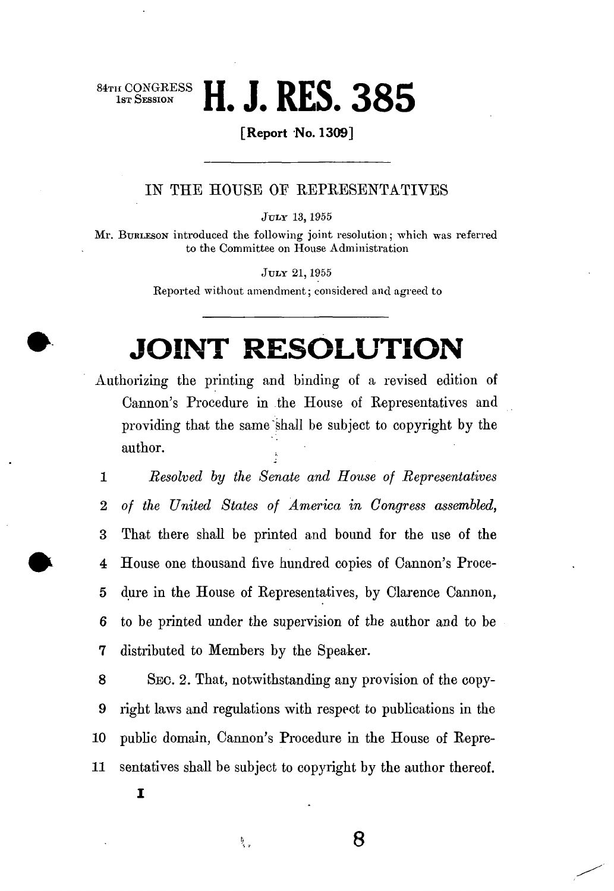# **HE CONGRESS H. J. RES. 385**

**[Report No. 1309]** 

#### IN THE HOUSE OF REPRESENTATIVES

JULY 13, 1955

Mr. BURLESON introduced the following joint resolution; which was referred to the Committee on House Administration

JULY 21,1955

Reported without amendment; considered and agreed to

## **JOINT RESOLUTION**

Authorizing the printing and binding of a revised edition of Cannon's Procedure in the House of Representatives and providing that the same shall be subject to copyright by the author.

1 *Resolved by the Senate and House of Representatives*  2 *of the United States of America in Congress assembled,*  3 That there shall be printed and bound for the use of the 4 House one thousand five hundred copies of Cannon's Proce-5 dure in the House of Representatives, by Clarence Cannon, 6 to be printed under the supervision of the author and to be 7 distributed to Members by the Speaker.

8 SEC. 2. That, notwithstanding any provision of the copy-9 right laws and regulations with respect to publications in the 10 public domain, Cannon's Procedure in the House of Repre-**11** sentatives shall be subject to copyright by the author thereof.

**8** 

I

与<br>14.9